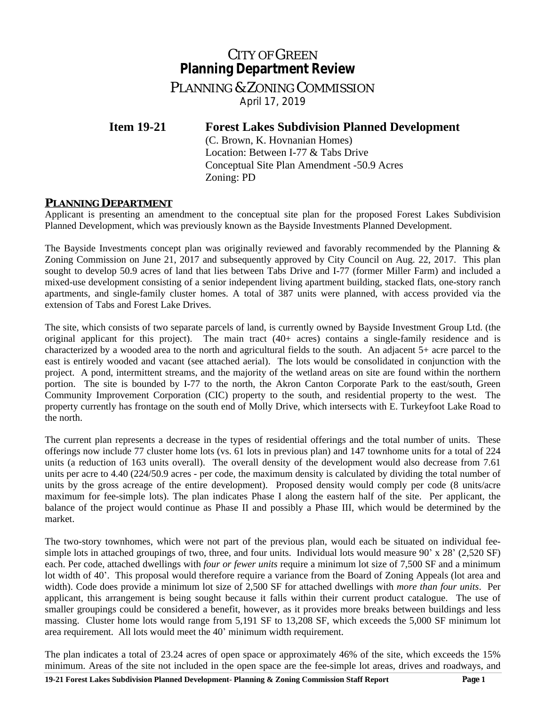# CITY OF GREEN **Planning Department Review**

PLANNING & ZONING COMMISSION *April 17, 2019*

**Item 19-21 Forest Lakes Subdivision Planned Development**

(C. Brown, K. Hovnanian Homes) Location: Between I-77 & Tabs Drive Conceptual Site Plan Amendment -50.9 Acres Zoning: PD

## **PLANNING DEPARTMENT**

Applicant is presenting an amendment to the conceptual site plan for the proposed Forest Lakes Subdivision Planned Development, which was previously known as the Bayside Investments Planned Development.

The Bayside Investments concept plan was originally reviewed and favorably recommended by the Planning & Zoning Commission on June 21, 2017 and subsequently approved by City Council on Aug. 22, 2017. This plan sought to develop 50.9 acres of land that lies between Tabs Drive and I-77 (former Miller Farm) and included a mixed-use development consisting of a senior independent living apartment building, stacked flats, one-story ranch apartments, and single-family cluster homes. A total of 387 units were planned, with access provided via the extension of Tabs and Forest Lake Drives.

The site, which consists of two separate parcels of land, is currently owned by Bayside Investment Group Ltd. (the original applicant for this project). The main tract (40+ acres) contains a single-family residence and is characterized by a wooded area to the north and agricultural fields to the south. An adjacent 5+ acre parcel to the east is entirely wooded and vacant (see attached aerial). The lots would be consolidated in conjunction with the project. A pond, intermittent streams, and the majority of the wetland areas on site are found within the northern portion. The site is bounded by I-77 to the north, the Akron Canton Corporate Park to the east/south, Green Community Improvement Corporation (CIC) property to the south, and residential property to the west. The property currently has frontage on the south end of Molly Drive, which intersects with E. Turkeyfoot Lake Road to the north.

The current plan represents a decrease in the types of residential offerings and the total number of units. These offerings now include 77 cluster home lots (vs. 61 lots in previous plan) and 147 townhome units for a total of 224 units (a reduction of 163 units overall). The overall density of the development would also decrease from 7.61 units per acre to 4.40 (224/50.9 acres - per code, the maximum density is calculated by dividing the total number of units by the gross acreage of the entire development). Proposed density would comply per code (8 units/acre maximum for fee-simple lots). The plan indicates Phase I along the eastern half of the site. Per applicant, the balance of the project would continue as Phase II and possibly a Phase III, which would be determined by the market.

The two-story townhomes, which were not part of the previous plan, would each be situated on individual feesimple lots in attached groupings of two, three, and four units. Individual lots would measure 90' x 28' (2,520 SF) each. Per code, attached dwellings with *four or fewer units* require a minimum lot size of 7,500 SF and a minimum lot width of 40'. This proposal would therefore require a variance from the Board of Zoning Appeals (lot area and width). Code does provide a minimum lot size of 2,500 SF for attached dwellings with *more than four units*. Per applicant, this arrangement is being sought because it falls within their current product catalogue. The use of smaller groupings could be considered a benefit, however, as it provides more breaks between buildings and less massing. Cluster home lots would range from 5,191 SF to 13,208 SF, which exceeds the 5,000 SF minimum lot area requirement. All lots would meet the 40' minimum width requirement.

The plan indicates a total of 23.24 acres of open space or approximately 46% of the site, which exceeds the 15% minimum. Areas of the site not included in the open space are the fee-simple lot areas, drives and roadways, and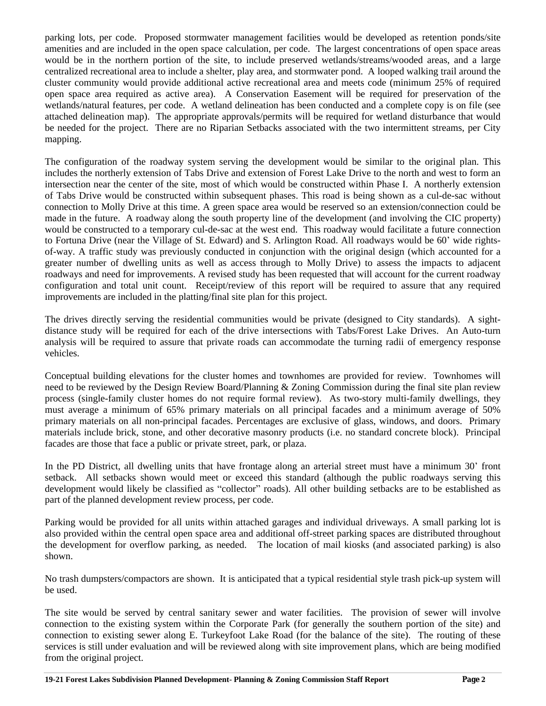parking lots, per code. Proposed stormwater management facilities would be developed as retention ponds/site amenities and are included in the open space calculation, per code. The largest concentrations of open space areas would be in the northern portion of the site, to include preserved wetlands/streams/wooded areas, and a large centralized recreational area to include a shelter, play area, and stormwater pond. A looped walking trail around the cluster community would provide additional active recreational area and meets code (minimum 25% of required open space area required as active area). A Conservation Easement will be required for preservation of the wetlands/natural features, per code. A wetland delineation has been conducted and a complete copy is on file (see attached delineation map). The appropriate approvals/permits will be required for wetland disturbance that would be needed for the project. There are no Riparian Setbacks associated with the two intermittent streams, per City mapping.

The configuration of the roadway system serving the development would be similar to the original plan. This includes the northerly extension of Tabs Drive and extension of Forest Lake Drive to the north and west to form an intersection near the center of the site, most of which would be constructed within Phase I. A northerly extension of Tabs Drive would be constructed within subsequent phases. This road is being shown as a cul-de-sac without connection to Molly Drive at this time. A green space area would be reserved so an extension/connection could be made in the future. A roadway along the south property line of the development (and involving the CIC property) would be constructed to a temporary cul-de-sac at the west end. This roadway would facilitate a future connection to Fortuna Drive (near the Village of St. Edward) and S. Arlington Road. All roadways would be 60' wide rightsof-way. A traffic study was previously conducted in conjunction with the original design (which accounted for a greater number of dwelling units as well as access through to Molly Drive) to assess the impacts to adjacent roadways and need for improvements. A revised study has been requested that will account for the current roadway configuration and total unit count. Receipt/review of this report will be required to assure that any required improvements are included in the platting/final site plan for this project.

The drives directly serving the residential communities would be private (designed to City standards). A sightdistance study will be required for each of the drive intersections with Tabs/Forest Lake Drives. An Auto-turn analysis will be required to assure that private roads can accommodate the turning radii of emergency response vehicles.

Conceptual building elevations for the cluster homes and townhomes are provided for review. Townhomes will need to be reviewed by the Design Review Board/Planning & Zoning Commission during the final site plan review process (single-family cluster homes do not require formal review). As two-story multi-family dwellings, they must average a minimum of 65% primary materials on all principal facades and a minimum average of 50% primary materials on all non-principal facades. Percentages are exclusive of glass, windows, and doors. Primary materials include brick, stone, and other decorative masonry products (i.e. no standard concrete block). Principal facades are those that face a public or private street, park, or plaza.

In the PD District, all dwelling units that have frontage along an arterial street must have a minimum 30' front setback. All setbacks shown would meet or exceed this standard (although the public roadways serving this development would likely be classified as "collector" roads). All other building setbacks are to be established as part of the planned development review process, per code.

Parking would be provided for all units within attached garages and individual driveways. A small parking lot is also provided within the central open space area and additional off-street parking spaces are distributed throughout the development for overflow parking, as needed. The location of mail kiosks (and associated parking) is also shown.

No trash dumpsters/compactors are shown. It is anticipated that a typical residential style trash pick-up system will be used.

The site would be served by central sanitary sewer and water facilities. The provision of sewer will involve connection to the existing system within the Corporate Park (for generally the southern portion of the site) and connection to existing sewer along E. Turkeyfoot Lake Road (for the balance of the site). The routing of these services is still under evaluation and will be reviewed along with site improvement plans, which are being modified from the original project.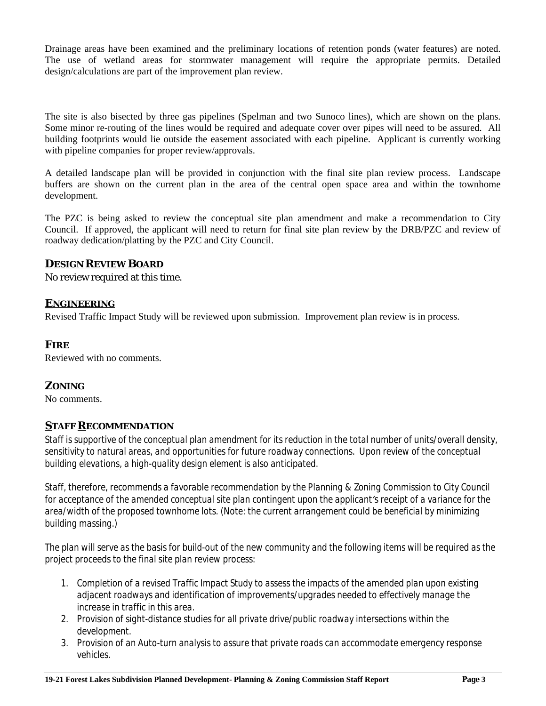Drainage areas have been examined and the preliminary locations of retention ponds (water features) are noted. The use of wetland areas for stormwater management will require the appropriate permits. Detailed design/calculations are part of the improvement plan review.

The site is also bisected by three gas pipelines (Spelman and two Sunoco lines), which are shown on the plans. Some minor re-routing of the lines would be required and adequate cover over pipes will need to be assured. All building footprints would lie outside the easement associated with each pipeline. Applicant is currently working with pipeline companies for proper review/approvals.

A detailed landscape plan will be provided in conjunction with the final site plan review process. Landscape buffers are shown on the current plan in the area of the central open space area and within the townhome development.

The PZC is being asked to review the conceptual site plan amendment and make a recommendation to City Council. If approved, the applicant will need to return for final site plan review by the DRB/PZC and review of roadway dedication/platting by the PZC and City Council.

### **DESIGN REVIEW BOARD**

No review required at this time.

### **ENGINEERING**

Revised Traffic Impact Study will be reviewed upon submission. Improvement plan review is in process.

### **FIRE**

Reviewed with no comments.

## **ZONING**

No comments.

#### **STAFF RECOMMENDATION**

*Staff is supportive of the conceptual plan amendment for its reduction in the total number of units/overall density, sensitivity to natural areas, and opportunities for future roadway connections. Upon review of the conceptual building elevations, a high-quality design element is also anticipated.*

*Staff, therefore, recommends a favorable recommendation by the Planning & Zoning Commission to City Council for acceptance of the amended conceptual site plan contingent upon the applicant's receipt of a variance for the area/width of the proposed townhome lots. (Note: the current arrangement could be beneficial by minimizing building massing.)* 

*The plan will serve as the basis for build-out of the new community and the following items will be required as the project proceeds to the final site plan review process:*

- *1. Completion of a revised Traffic Impact Study to assess the impacts of the amended plan upon existing adjacent roadways and identification of improvements/upgrades needed to effectively manage the increase in traffic in this area.*
- *2. Provision of sight-distance studies for all private drive/public roadway intersections within the development.*
- *3. Provision of an Auto-turn analysis to assure that private roads can accommodate emergency response vehicles.*